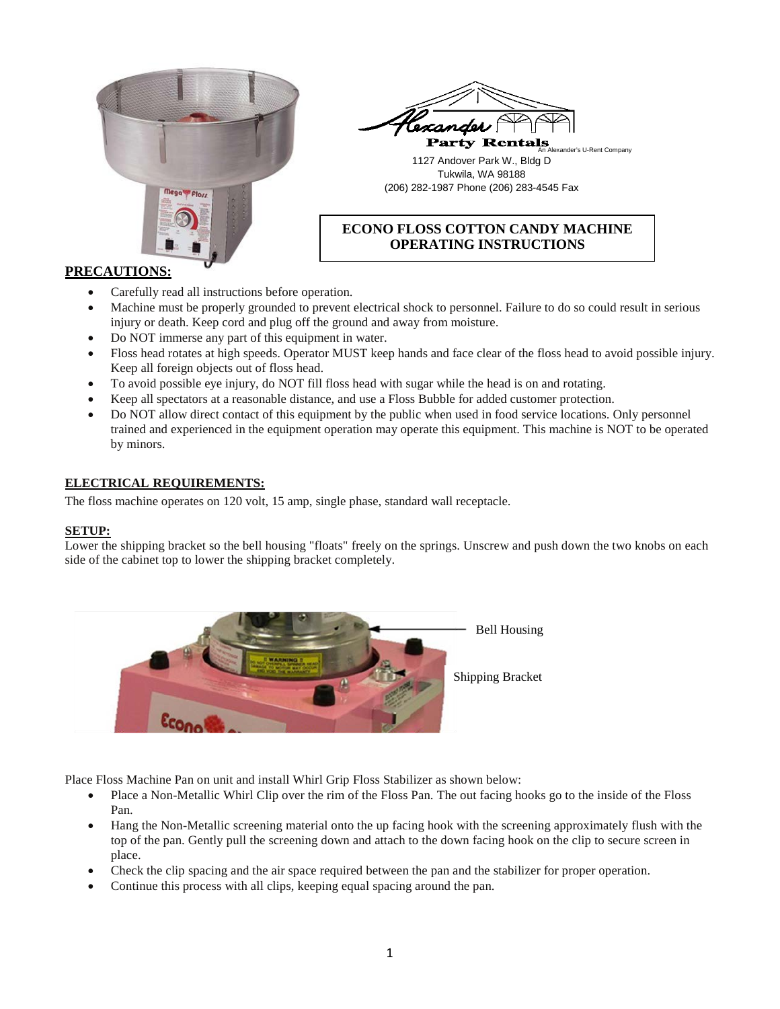



## 1127 Andover Park W., Bldg D Tukwila, WA 98188 (206) 282-1987 Phone (206) 283-4545 Fax

# **ECONO FLOSS COTTON CANDY MACHINE OPERATING INSTRUCTIONS**

### **PRECAUTIONS:**

- Carefully read all instructions before operation.
- Machine must be properly grounded to prevent electrical shock to personnel. Failure to do so could result in serious injury or death. Keep cord and plug off the ground and away from moisture.
- Do NOT immerse any part of this equipment in water.
- Floss head rotates at high speeds. Operator MUST keep hands and face clear of the floss head to avoid possible injury. Keep all foreign objects out of floss head.
- To avoid possible eye injury, do NOT fill floss head with sugar while the head is on and rotating.
- Keep all spectators at a reasonable distance, and use a Floss Bubble for added customer protection.
- Do NOT allow direct contact of this equipment by the public when used in food service locations. Only personnel trained and experienced in the equipment operation may operate this equipment. This machine is NOT to be operated by minors.

### **ELECTRICAL REQUIREMENTS:**

The floss machine operates on 120 volt, 15 amp, single phase, standard wall receptacle.

#### **SETUP:**

Lower the shipping bracket so the bell housing "floats" freely on the springs. Unscrew and push down the two knobs on each side of the cabinet top to lower the shipping bracket completely.



Place Floss Machine Pan on unit and install Whirl Grip Floss Stabilizer as shown below:

- Place a Non-Metallic Whirl Clip over the rim of the Floss Pan. The out facing hooks go to the inside of the Floss Pan.
- Hang the Non-Metallic screening material onto the up facing hook with the screening approximately flush with the top of the pan. Gently pull the screening down and attach to the down facing hook on the clip to secure screen in place.
- Check the clip spacing and the air space required between the pan and the stabilizer for proper operation.
- Continue this process with all clips, keeping equal spacing around the pan.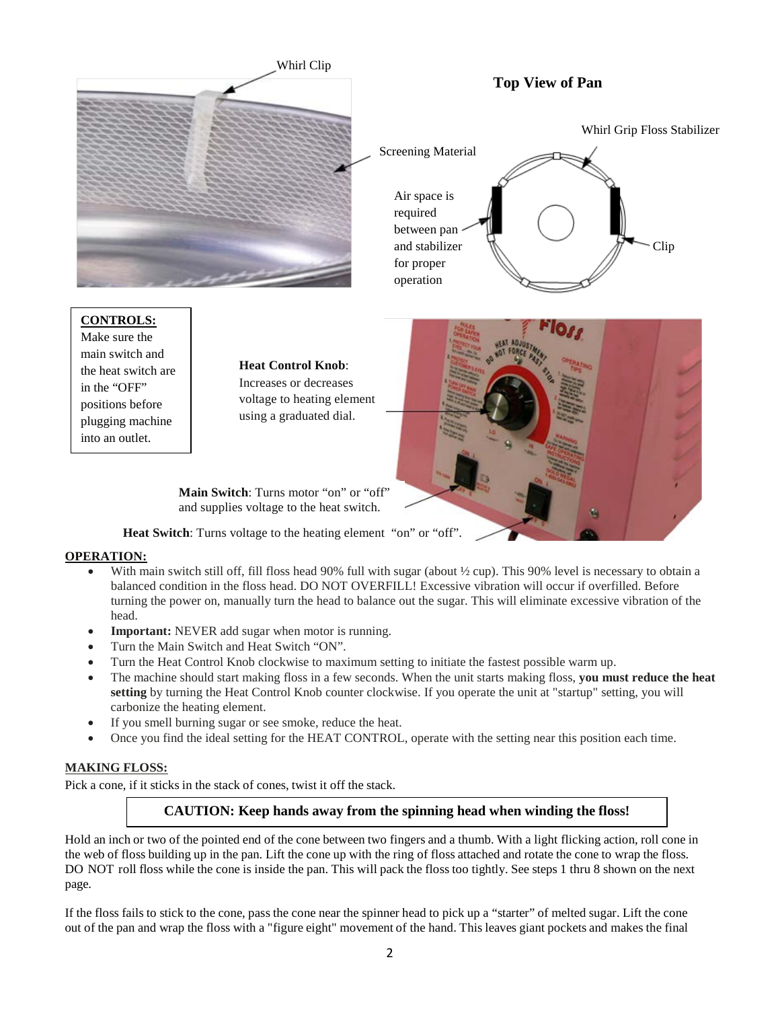

Make sure the main switch and the heat switch are in the "OFF" positions before plugging machine into an outlet.

**Heat Control Knob**: Increases or decreases voltage to heating element using a graduated dial.



**Main Switch**: Turns motor "on" or "off" and supplies voltage to the heat switch.

**Heat Switch**: Turns voltage to the heating element "on" or "off".

### **OPERATION:**

- With main switch still off, fill floss head 90% full with sugar (about  $\frac{1}{2}$  cup). This 90% level is necessary to obtain a balanced condition in the floss head. DO NOT OVERFILL! Excessive vibration will occur if overfilled. Before turning the power on, manually turn the head to balance out the sugar. This will eliminate excessive vibration of the head.
- **Important:** NEVER add sugar when motor is running.
- Turn the Main Switch and Heat Switch "ON".
- Turn the Heat Control Knob clockwise to maximum setting to initiate the fastest possible warm up.
- The machine should start making floss in a few seconds. When the unit starts making floss, **you must reduce the heat setting** by turning the Heat Control Knob counter clockwise. If you operate the unit at "startup" setting, you will carbonize the heating element.
- If you smell burning sugar or see smoke, reduce the heat.
- Once you find the ideal setting for the HEAT CONTROL, operate with the setting near this position each time.

### **MAKING FLOSS:**

Pick a cone, if it sticks in the stack of cones, twist it off the stack.

# **CAUTION: Keep hands away from the spinning head when winding the floss!**

Hold an inch or two of the pointed end of the cone between two fingers and a thumb. With a light flicking action, roll cone in the web of floss building up in the pan. Lift the cone up with the ring of floss attached and rotate the cone to wrap the floss. DO NOT roll floss while the cone is inside the pan. This will pack the floss too tightly. See steps 1 thru 8 shown on the next page.

If the floss fails to stick to the cone, pass the cone near the spinner head to pick up a "starter" of melted sugar. Lift the cone out of the pan and wrap the floss with a "figure eight" movement of the hand. This leaves giant pockets and makes the final